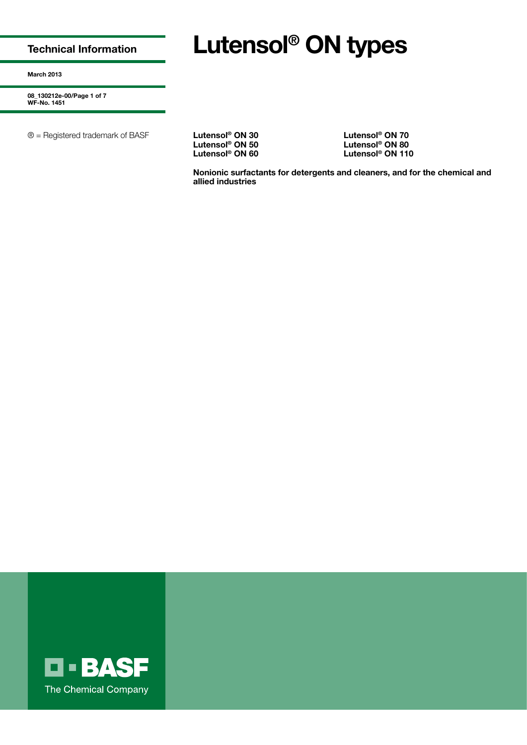**Technical Information**

# **Lutensol® ON types**

**March 2013**

**08\_130212e-00/Page 1 of 7 WF-No. 1451**

® = Registered trademark of BASF **Lutensol® ON 30 Lutensol® ON 70**

**Lutensol® ON 50 Lutensol® ON 80**

**Lutensol® ON 60 Lutensol® ON 110**

**Nonionic surfactants for detergents and cleaners, and for the chemical and allied industries**

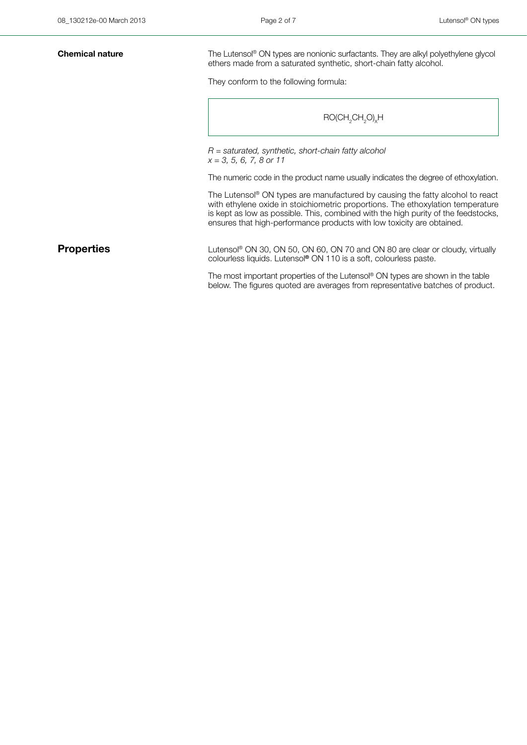**Chemical nature** The Lutensol® ON types are nonionic surfactants. They are alkyl polyethylene glycol ethers made from a saturated synthetic, short-chain fatty alcohol.

They conform to the following formula:

### $\mathsf{RO}(\mathsf{CH}_{_2}\mathsf{CH}_{_2}\mathsf{O})_\mathsf{x} \mathsf{H}$

*R = saturated, synthetic, short-chain fatty alcohol x = 3, 5, 6, 7, 8 or 11*

The numeric code in the product name usually indicates the degree of ethoxylation.

The Lutensol® ON types are manufactured by causing the fatty alcohol to react with ethylene oxide in stoichiometric proportions. The ethoxylation temperature is kept as low as possible. This, combined with the high purity of the feedstocks, ensures that high-performance products with low toxicity are obtained.

**Properties** Lutensol® ON 30, ON 50, ON 60, ON 70 and ON 80 are clear or cloudy, virtually colourless liquids. Lutensol**®** ON 110 is a soft, colourless paste.

> The most important properties of the Lutensol® ON types are shown in the table below. The figures quoted are averages from representative batches of product.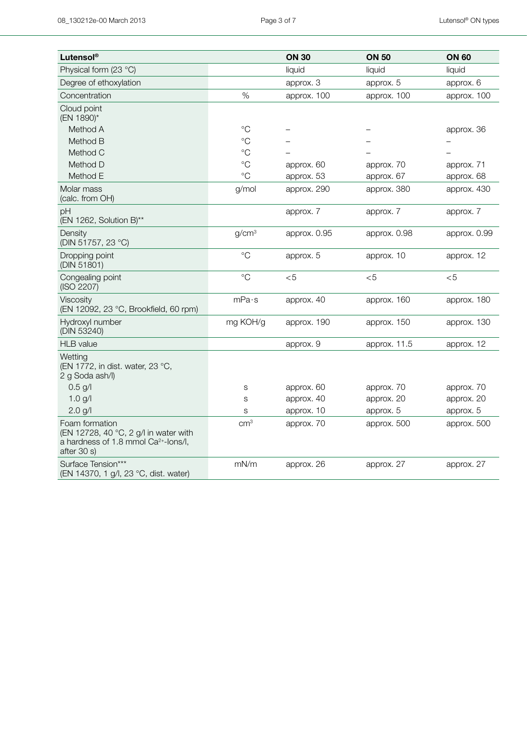| Lutensol®                                                                                                                  |                   | <b>ON 30</b> | <b>ON 50</b> | <b>ON 60</b> |
|----------------------------------------------------------------------------------------------------------------------------|-------------------|--------------|--------------|--------------|
| Physical form (23 °C)                                                                                                      |                   | liquid       | liquid       | liquid       |
| Degree of ethoxylation                                                                                                     |                   | approx. 3    | approx. 5    | approx. 6    |
| Concentration                                                                                                              | $\%$              | approx. 100  | approx. 100  | approx. 100  |
| Cloud point<br>(EN 1890)*                                                                                                  |                   |              |              |              |
| Method A                                                                                                                   | $^{\circ}C$       |              |              | approx. 36   |
| Method B                                                                                                                   | $\rm ^{\circ}C$   |              |              |              |
| Method C                                                                                                                   | $^{\circ}C$       |              |              |              |
| Method D                                                                                                                   | $^{\circ}C$       | approx. 60   | approx. 70   | approx. 71   |
| Method E                                                                                                                   | $^{\circ}C$       | approx. 53   | approx. 67   | approx. 68   |
| Molar mass<br>(calc. from OH)                                                                                              | g/mol             | approx. 290  | approx. 380  | approx. 430  |
| pH<br>(EN 1262, Solution B)**                                                                                              |                   | approx. 7    | approx. 7    | approx. 7    |
| Density<br>(DIN 51757, 23 °C)                                                                                              | g/cm <sup>3</sup> | approx. 0.95 | approx. 0.98 | approx. 0.99 |
| Dropping point<br>(DIN 51801)                                                                                              | $^{\circ}C$       | approx. 5    | approx. 10   | approx. 12   |
| Congealing point<br>(ISO 2207)                                                                                             | $^{\circ}C$       | $<$ 5        | < 5          | < 5          |
| Viscosity<br>(EN 12092, 23 °C, Brookfield, 60 rpm)                                                                         | mPa·s             | approx. 40   | approx. 160  | approx. 180  |
| Hydroxyl number<br>(DIN 53240)                                                                                             | mg KOH/g          | approx. 190  | approx. 150  | approx. 130  |
| <b>HLB</b> value                                                                                                           |                   | approx. 9    | approx. 11.5 | approx. 12   |
| Wetting<br>(EN 1772, in dist. water, 23 °C,<br>2 g Soda ash/l)                                                             |                   |              |              |              |
| $0.5$ g/l                                                                                                                  | S                 | approx. 60   | approx. 70   | approx. 70   |
| $1.0$ g/l                                                                                                                  | S                 | approx. 40   | approx. 20   | approx. 20   |
| 2.0 g/l                                                                                                                    | S                 | approx. 10   | approx. 5    | approx. 5    |
| Foam formation<br>(EN 12728, 40 °C, 2 g/l in water with<br>a hardness of 1.8 mmol Ca <sup>2+</sup> -lons/l,<br>after 30 s) | cm <sup>3</sup>   | approx. 70   | approx. 500  | approx. 500  |
| Surface Tension***<br>(EN 14370, 1 g/l, 23 °C, dist. water)                                                                | mN/m              | approx. 26   | approx. 27   | approx. 27   |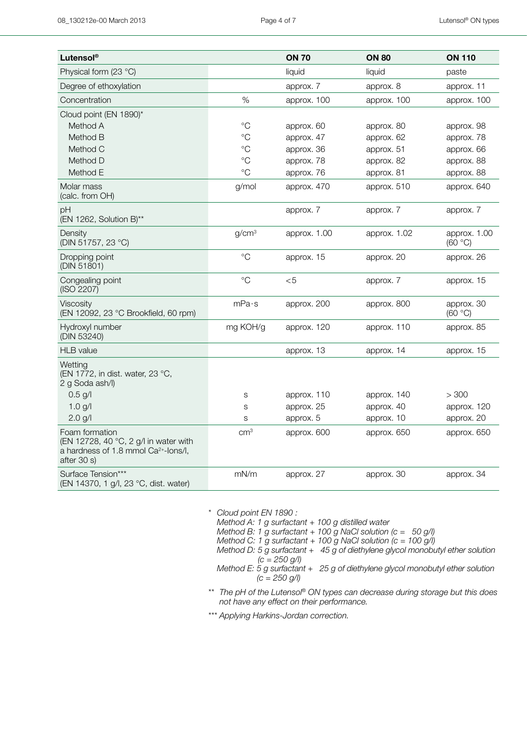| Lutensol <sup>®</sup>                                                                                                      |                   | <b>ON 70</b> | <b>ON 80</b> | <b>ON 110</b>           |
|----------------------------------------------------------------------------------------------------------------------------|-------------------|--------------|--------------|-------------------------|
| Physical form (23 °C)                                                                                                      |                   | liquid       | liquid       | paste                   |
| Degree of ethoxylation                                                                                                     |                   | approx. 7    | approx. 8    | approx. 11              |
| Concentration                                                                                                              | $\%$              | approx. 100  | approx. 100  | approx. 100             |
| Cloud point (EN 1890)*                                                                                                     |                   |              |              |                         |
| Method A                                                                                                                   | $^{\circ}C$       | approx. 60   | approx. 80   | approx. 98              |
| Method B                                                                                                                   | $^{\circ}C$       | approx. 47   | approx. 62   | approx. 78              |
| Method C                                                                                                                   | $\rm ^{\circ}C$   | approx. 36   | approx. 51   | approx. 66              |
| Method D                                                                                                                   | $^{\circ}C$       | approx. 78   | approx. 82   | approx. 88              |
| Method E                                                                                                                   | $^{\circ}C$       | approx. 76   | approx. 81   | approx. 88              |
| Molar mass<br>(calc. from OH)                                                                                              | g/mol             | approx. 470  | approx. 510  | approx. 640             |
| рH<br>(EN 1262, Solution B)**                                                                                              |                   | approx. 7    | approx. 7    | approx. 7               |
| Density<br>(DIN 51757, 23 °C)                                                                                              | g/cm <sup>3</sup> | approx. 1.00 | approx. 1.02 | approx. 1.00<br>(60 °C) |
| Dropping point<br>(DIN 51801)                                                                                              | $\rm ^{\circ}C$   | approx. 15   | approx. 20   | approx. 26              |
| Congealing point<br>(ISO 2207)                                                                                             | $\rm ^{\circ}C$   | < 5          | approx. 7    | approx. 15              |
| Viscosity<br>(EN 12092, 23 °C Brookfield, 60 rpm)                                                                          | mPa·s             | approx. 200  | approx. 800  | approx. 30<br>(60 °C)   |
| Hydroxyl number<br>(DIN 53240)                                                                                             | mg KOH/g          | approx. 120  | approx. 110  | approx. 85              |
| <b>HLB</b> value                                                                                                           |                   | approx. 13   | approx. 14   | approx. 15              |
| Wetting<br>(EN 1772, in dist. water, 23 °C,<br>2 g Soda ash/l)                                                             |                   |              |              |                         |
| $0.5$ g/l                                                                                                                  | S                 | approx. 110  | approx. 140  | > 300                   |
| 1.0 g/l                                                                                                                    | $\mathbf S$       | approx. 25   | approx. 40   | approx. 120             |
| 2.0 g/l                                                                                                                    | S                 | approx. 5    | approx. 10   | approx. 20              |
| Foam formation<br>(EN 12728, 40 °C, 2 g/l in water with<br>a hardness of 1.8 mmol Ca <sup>2+</sup> -lons/l,<br>after 30 s) | cm <sup>3</sup>   | approx. 600  | approx. 650  | approx. 650             |
| Surface Tension***<br>(EN 14370, 1 g/l, 23 °C, dist. water)                                                                | mN/m              | approx. 27   | approx. 30   | approx. 34              |

*\* Cloud point EN 1890 : Method A: 1 g surfactant + 100 g distilled water Method B: 1 g surfactant + 100 g NaCl solution (c = 50 g/l) Method C: 1 g surfactant + 100 g NaCl solution (c = 100 g/l) Method D: 5 g surfactant + 45 g of diethylene glycol monobutyl ether solution (c = 250 g/l) Method E: 5 g surfactant + 25 g of diethylene glycol monobutyl ether solution (c = 250 g/l)*

*\*\*\* The pH of the Lutensol® ON types can decrease during storage but this does not have any effect on their performance.*

*\*\*\* Applying Harkins-Jordan correction.*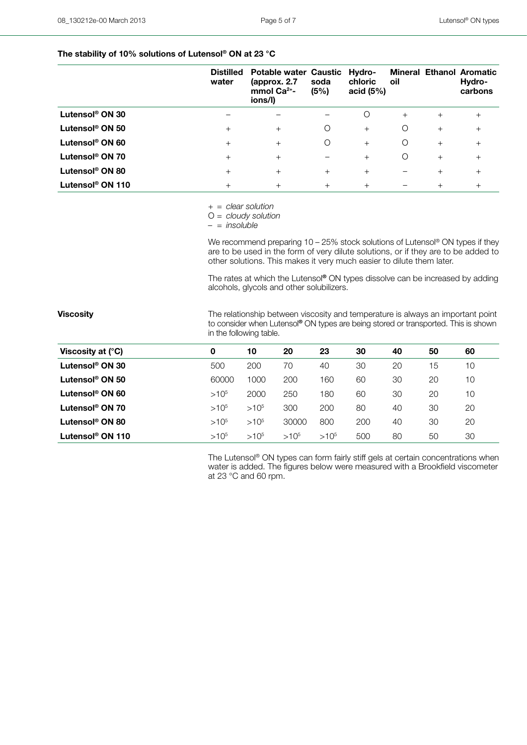### **The stability of 10% solutions of Lutensol® ON at 23 °C**

|                              | <b>Distilled</b><br>water | <b>Potable water Caustic</b><br>(approx. 2.7<br>mmol $Ca2+$ -<br>ions/l) | soda<br>(5%) | Hydro-<br>chloric<br>acid $(5%)$ | oil                      |        | <b>Mineral Ethanol Aromatic</b><br>Hydro-<br>carbons |
|------------------------------|---------------------------|--------------------------------------------------------------------------|--------------|----------------------------------|--------------------------|--------|------------------------------------------------------|
| Lutensol <sup>®</sup> ON 30  |                           |                                                                          |              | O                                | $+$                      | $+$    | $^{+}$                                               |
| Lutensol <sup>®</sup> ON 50  | $+$                       | $+$                                                                      | Ο            | $+$                              | O                        | $+$    | $^{+}$                                               |
| Lutensol <sup>®</sup> ON 60  | $+$                       | $+$                                                                      | Ο            | $+$                              | O                        | $+$    | $^{+}$                                               |
| Lutensol <sup>®</sup> ON 70  | $+$                       | $+$                                                                      |              | $+$                              | O                        | $+$    | $^{+}$                                               |
| Lutensol <sup>®</sup> ON 80  | $+$                       | $+$                                                                      | $+$          | $+$                              | $\overline{\phantom{0}}$ | $+$    | $^{+}$                                               |
| Lutensol <sup>®</sup> ON 110 | $^{+}$                    | $+$                                                                      | $+$          | $+$                              |                          | $^{+}$ | $^{+}$                                               |

*+ = clear solution*

O *= cloudy solution*

*– = insoluble*

We recommend preparing 10 – 25% stock solutions of Lutensol® ON types if they are to be used in the form of very dilute solutions, or if they are to be added to other solutions. This makes it very much easier to dilute them later.

The rates at which the Lutensol**®** ON types dissolve can be increased by adding alcohols, glycols and other solubilizers.

**Viscosity Viscosity The relationship between viscosity and temperature is always an important point** to consider when Lutensol**®** ON types are being stored or transported. This is shown in the following table.

| Viscosity at $(^{\circ}C)$  | 0         | 10        | 20        | 23        | 30  | 40 | 50 | 60 |
|-----------------------------|-----------|-----------|-----------|-----------|-----|----|----|----|
| Lutensol® ON 30             | 500       | 200       | 70        | 40        | 30  | 20 | 15 | 10 |
| Lutensol <sup>®</sup> ON 50 | 60000     | 1000      | 200       | 160       | 60  | 30 | 20 | 10 |
| Lutensol <sup>®</sup> ON 60 | $>10^{5}$ | 2000      | 250       | 180       | 60  | 30 | 20 | 10 |
| Lutensol <sup>®</sup> ON 70 | $>10^{5}$ | $>10^{5}$ | 300       | 200       | 80  | 40 | 30 | 20 |
| Lutensol® ON 80             | $>10^{5}$ | $>10^{5}$ | 30000     | 800       | 200 | 40 | 30 | 20 |
| Lutensol® ON 110            | $>10^{5}$ | $>10^{5}$ | $>10^{5}$ | $>10^{5}$ | 500 | 80 | 50 | 30 |

 The Lutensol® ON types can form fairly stiff gels at certain concentrations when water is added. The figures below were measured with a Brookfield viscometer at 23 °C and 60 rpm.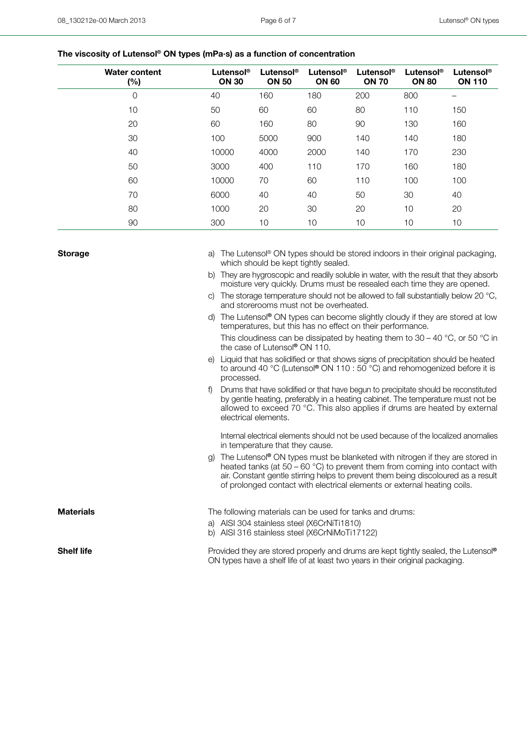## **The viscosity of Lutensol® ON types (mPa·s) as a function of concentration**

| <b>Water content</b><br>(%) | Lutensol®<br><b>ON 30</b> | Lutensol <sup>®</sup><br><b>ON 50</b> | Lutensol®<br><b>ON 60</b> | Lutensol®<br><b>ON 70</b> | Lutensol <sup>®</sup><br><b>ON 80</b> | Lutensol <sup>®</sup><br><b>ON 110</b> |
|-----------------------------|---------------------------|---------------------------------------|---------------------------|---------------------------|---------------------------------------|----------------------------------------|
| $\mathbf 0$                 | 40                        | 160                                   | 180                       | 200                       | 800                                   |                                        |
| 10                          | 50                        | 60                                    | 60                        | 80                        | 110                                   | 150                                    |
| 20                          | 60                        | 160                                   | 80                        | 90                        | 130                                   | 160                                    |
| 30                          | 100                       | 5000                                  | 900                       | 140                       | 140                                   | 180                                    |
| 40                          | 10000                     | 4000                                  | 2000                      | 140                       | 170                                   | 230                                    |
| 50                          | 3000                      | 400                                   | 110                       | 170                       | 160                                   | 180                                    |
| 60                          | 10000                     | 70                                    | 60                        | 110                       | 100                                   | 100                                    |
| 70                          | 6000                      | 40                                    | 40                        | 50                        | 30                                    | 40                                     |
| 80                          | 1000                      | 20                                    | 30                        | 20                        | 10                                    | 20                                     |
| 90                          | 300                       | 10                                    | 10                        | 10                        | 10                                    | 10                                     |

| <b>Storage</b>    | a) The Lutensol® ON types should be stored indoors in their original packaging,<br>which should be kept tightly sealed.                                                                                                                                                                                                                         |
|-------------------|-------------------------------------------------------------------------------------------------------------------------------------------------------------------------------------------------------------------------------------------------------------------------------------------------------------------------------------------------|
|                   | They are hygroscopic and readily soluble in water, with the result that they absorb<br>b)<br>moisture very quickly. Drums must be resealed each time they are opened.                                                                                                                                                                           |
|                   | The storage temperature should not be allowed to fall substantially below 20 $^{\circ}$ C,<br>C)<br>and storerooms must not be overheated.                                                                                                                                                                                                      |
|                   | The Lutensol <sup>®</sup> ON types can become slightly cloudy if they are stored at low<br>d)<br>temperatures, but this has no effect on their performance.                                                                                                                                                                                     |
|                   | This cloudiness can be dissipated by heating them to $30 - 40$ °C, or 50 °C in<br>the case of Lutensol <sup>®</sup> ON 110.                                                                                                                                                                                                                     |
|                   | e) Liquid that has solidified or that shows signs of precipitation should be heated<br>to around 40 °C (Lutensol® ON 110 : 50 °C) and rehomogenized before it is<br>processed.                                                                                                                                                                  |
|                   | Drums that have solidified or that have begun to precipitate should be reconstituted<br>f<br>by gentle heating, preferably in a heating cabinet. The temperature must not be<br>allowed to exceed 70 °C. This also applies if drums are heated by external<br>electrical elements.                                                              |
|                   | Internal electrical elements should not be used because of the localized anomalies<br>in temperature that they cause.                                                                                                                                                                                                                           |
|                   | The Lutensol <sup>®</sup> ON types must be blanketed with nitrogen if they are stored in<br>q)<br>heated tanks (at $50 - 60$ °C) to prevent them from coming into contact with<br>air. Constant gentle stirring helps to prevent them being discoloured as a result<br>of prolonged contact with electrical elements or external heating coils. |
| <b>Materials</b>  | The following materials can be used for tanks and drums:                                                                                                                                                                                                                                                                                        |
|                   | a) AISI 304 stainless steel (X6CrNiTi1810)<br>b) AISI 316 stainless steel (X6CrNiMoTi17122)                                                                                                                                                                                                                                                     |
| <b>Shelf life</b> | Provided they are stored properly and drums are kept tightly sealed, the Lutensol®<br>ON types have a shelf life of at least two years in their original packaging.                                                                                                                                                                             |